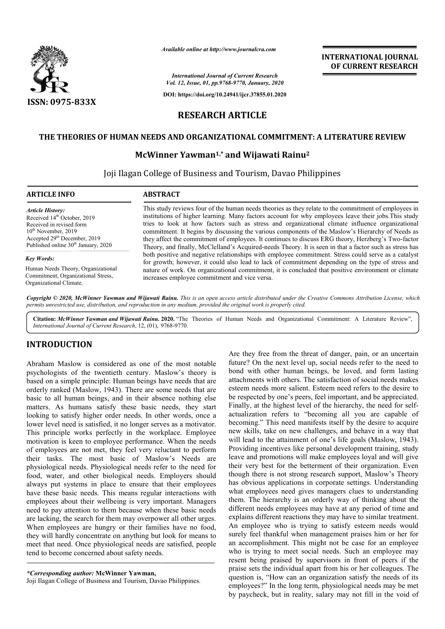

*Available online at http://www.journalcra.com*

*International Journal of Current Research Vol. 12, Issue, 01, pp.9768-9770, January, 2020*

**DOI: https://doi.org/10.24941/ijcr.37855.01.2020**

### **INTERNATIONAL JOURNAL OF CURRENT RESEARCH**

# **RESEARCH ARTICLE**

### **THE THEORIES OF HUMAN NEEDS AND ORGANIZATIONAL COMMITMENT: A LITERATURE REVIEW THEORIES OF**

### **McWinner Yawman Yawman1,\* and Wijawati Rainu2**

Joji Ilagan College of Business and Tourism, Davao Philippines

| <b>ABSTRACT</b>                                                                                                                                                                                                                                                                                                                                                                                                                                                                                                                                                                                                                                                                                                                                                                                                                                  |
|--------------------------------------------------------------------------------------------------------------------------------------------------------------------------------------------------------------------------------------------------------------------------------------------------------------------------------------------------------------------------------------------------------------------------------------------------------------------------------------------------------------------------------------------------------------------------------------------------------------------------------------------------------------------------------------------------------------------------------------------------------------------------------------------------------------------------------------------------|
| This study reviews four of the human needs theories as they relate to the commitment of employees in<br>institutions of higher learning. Many factors account for why employees leave their jobs. This study<br>tries to look at how factors such as stress and organizational climate influence organizational<br>commitment. It begins by discussing the various components of the Maslow's Hierarchy of Needs as<br>they affect the commitment of employees. It continues to discuss ERG theory, Herzberg's Two-factor<br>Theory, and finally, McClelland's Acquired-needs Theory. It is seen in that a factor such as stress has<br>both positive and negative relationships with employee commitment. Stress could serve as a catalyst<br>for growth; however, it could also lead to lack of commitment depending on the type of stress and |
|                                                                                                                                                                                                                                                                                                                                                                                                                                                                                                                                                                                                                                                                                                                                                                                                                                                  |
|                                                                                                                                                                                                                                                                                                                                                                                                                                                                                                                                                                                                                                                                                                                                                                                                                                                  |

Copyright © 2020, McWinner Yawman and Wijawati Rainu. This is an open access article distributed under the Creative Commons Attribution License, which permits unrestricted use, distribution, and reproduction in any medium, provided the original work is properly cited.

Citation: McWinner Yawman and Wijawati Rainu. 2020. "The Theories of Human Needs and Organizational Commitment: A Literature Review", *International Journal of Current Research*, 12, (01), 9768-9770.

# **INTRODUCTION**

Abraham Maslow is considered as one of the most notable psychologists of the twentieth century. Maslow's theory is based on a simple principle: Human beings have needs that are orderly ranked (Maslow, 1943). There are some needs that are basic to all human beings, and in their absence nothing else matters. As humans satisfy these basic needs, they start looking to satisfy higher order needs. In other words, once a lower level need is satisfied, it no longer serves as a motivator. This principle works perfectly in the workplace. Employee motivation is keen to employee performance. When the needs of employees are not met, they feel very reluctant to perform their tasks. The most basic of Maslow's Needs are physiological needs. Physiological needs refer to the need for food, water, and other biological needs. Employers should always put systems in place to ensure that their employees have these basic needs. This means regular interactions with employees about their wellbeing is very important. Mana need to pay attention to them because when these basic needs are lacking, the search for them may overpower all other urges. When employees are hungry or their families have no food, they will hardly concentrate on anything but look for means to meet that need. Once physiological needs are satisfied, people tend to become concerned about safety needs. c to all human beings, and in their absence nothing else<br>ters. As humans satisfy these basic needs, they start<br>ting to satisfy higher order needs. In other words, once a<br>er level need is satisfied, it no longer serves as a

Are they free from the threat of danger, pain, or an uncertain future? On the next level up, social needs refer to the need to bond with other human beings, be loved, and form lasting attachments with others. The satisfaction of social needs makes esteem needs more salient. Esteem need refers to the desire to be respected by one's peers, feel important, and be appreciated. be respected by one's peers, feel important, and be appreciated.<br>Finally, at the highest level of the hierarchy, the need for selfactualization refers to "becoming all you are capable of actualization refers to "becoming all you are capable of becoming." This need manifests itself by the desire to acquire new skills, take on new challenges, and behave in a way that will lead to the attainment of one's life goals (Maslow, 1943). Providing incentives like personal development training, study leave and promotions will make employees loyal and will giv their very best for the betterment of their organization. Even though there is not strong research support, Maslow's Theory has obvious applications in corporate settings. Understanding what employees need gives managers clues to understanding them. The hierarchy is an orderly way of thinking about the different needs employees may have at any period of time and explains different reactions they may have to similar treatment. An employee who is trying to satisfy esteem needs would surely feel thankful when management praises him or her for an accomplishment. This might not be case for an employee who is trying to meet social needs. Such an employee may resent being praised by supervisors in front of peers if the praise sets the individual apart from his or her colleagues. The question is, "How can an organization satisfy the needs of its employees?" In the long term, physiological needs may be met by paycheck, but in reality, salary may not fill in the void of he next level up, social needs refer to the need to<br>other human beings, be loved, and form lasting<br>with others. The satisfaction of social needs makes<br>s more salient. Esteem need refers to the desire to s, take on new challenges, and behave in a way that<br>to the attainment of one's life goals (Maslow, 1943).<br>i incentives like personal development training, study<br>promotions will make employees loyal and will give though there is not strong research support, Maslow's Theory has obvious applications in corporate settings. Understanding what employees need gives managers clues to understanding them. The hierarchy is an orderly way of **INTERNATIONAL JOURNAL FREENCEST (2018)**<br> **DEPERDATION CONSTRATE (2018)**<br> **DEPERDATION CONSTRATE (2018)**<br> **DEPERDATION CONSTRATE (2018)**<br> **CELULE**<br> **CONSTRATE CONSTRATE (2018)**<br> **CONSTRATE CONSTRATE (2018)**<br> **CONSTRATE CON** 

*<sup>\*</sup>Corresponding author:* **McWinner Yawman,**

Joji Ilagan College of Business and Tourism, Davao Philippines Philippines.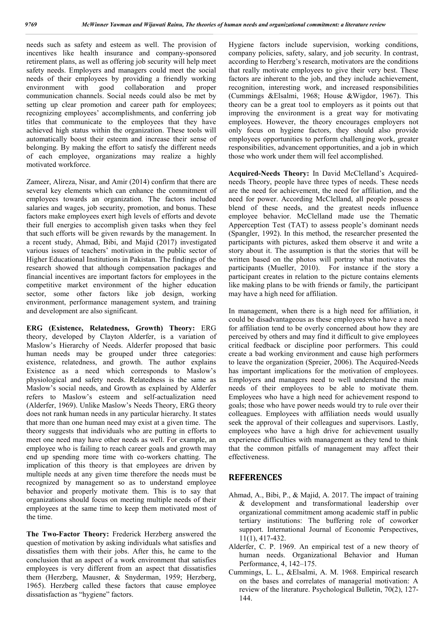needs such as safety and esteem as well. The provision of incentives like health insurance and company-sponsored retirement plans, as well as offering job security will help meet safety needs. Employers and managers could meet the social needs of their employees by providing a friendly working environment with good collaboration and proper communication channels. Social needs could also be met by setting up clear promotion and career path for employees; recognizing employees' accomplishments, and conferring job titles that communicate to the employees that they have achieved high status within the organization. These tools will automatically boost their esteem and increase their sense of belonging. By making the effort to satisfy the different needs of each employee, organizations may realize a highly motivated workforce.

Zameer, Alireza, Nisar, and Amir (2014) confirm that there are several key elements which can enhance the commitment of employees towards an organization. The factors included salaries and wages, job security, promotion, and bonus. These factors make employees exert high levels of efforts and devote their full energies to accomplish given tasks when they feel that such efforts will be given rewards by the management. In a recent study, Ahmad, Bibi, and Majid (2017) investigated various issues of teachers' motivation in the public sector of Higher Educational Institutions in Pakistan. The findings of the research showed that although compensation packages and financial incentives are important factors for employees in the competitive market environment of the higher education sector, some other factors like job design, working environment, performance management system, and training and development are also significant.

**ERG (Existence, Relatedness, Growth) Theory:** ERG theory, developed by Clayton Alderfer, is a variation of Maslow's Hierarchy of Needs. Alderfer proposed that basic human needs may be grouped under three categories: existence, relatedness, and growth. The author explains Existence as a need which corresponds to Maslow's physiological and safety needs. Relatedness is the same as Maslow's social needs, and Growth as explained by Alderfer refers to Maslow's esteem and self-actualization need (Alderfer, 1969). Unlike Maslow's Needs Theory, ERG theory does not rank human needs in any particular hierarchy. It states that more than one human need may exist at a given time. The theory suggests that individuals who are putting in efforts to meet one need may have other needs as well. For example, an employee who is failing to reach career goals and growth may end up spending more time with co-workers chatting. The implication of this theory is that employees are driven by multiple needs at any given time therefore the needs must be recognized by management so as to understand employee behavior and properly motivate them. This is to say that organizations should focus on meeting multiple needs of their employees at the same time to keep them motivated most of the time.

**The Two-Factor Theory:** Frederick Herzberg answered the question of motivation by asking individuals what satisfies and dissatisfies them with their jobs. After this, he came to the conclusion that an aspect of a work environment that satisfies employees is very different from an aspect that dissatisfies them (Herzberg, Mausner, & Snyderman, 1959; Herzberg, 1965). Herzberg called these factors that cause employee dissatisfaction as "hygiene" factors.

Hygiene factors include supervision, working conditions, company policies, safety, salary, and job security. In contrast, according to Herzberg's research, motivators are the conditions that really motivate employees to give their very best. These factors are inherent to the job, and they include achievement, recognition, interesting work, and increased responsibilities (Cummings &Elsalmi, 1968; House &Wigdor, 1967). This theory can be a great tool to employers as it points out that improving the environment is a great way for motivating employees. However, the theory encourages employers not only focus on hygiene factors, they should also provide employees opportunities to perform challenging work, greater responsibilities, advancement opportunities, and a job in which those who work under them will feel accomplished.

**Acquired-Needs Theory:** In David McClelland's Acquiredneeds Theory, people have three types of needs. These needs are the need for achievement, the need for affiliation, and the need for power. According McClelland, all people possess a blend of these needs, and the greatest needs influence employee behavior. McClelland made use the Thematic Apperception Test (TAT) to assess people's dominant needs (Spangler, 1992). In this method, the researcher presented the participants with pictures, asked them observe it and write a story about it. The assumption is that the stories that will be written based on the photos will portray what motivates the participants (Mueller, 2010). For instance if the story a participant creates in relation to the picture contains elements like making plans to be with friends or family, the participant may have a high need for affiliation.

In management, when there is a high need for affiliation, it could be disadvantageous as these employees who have a need for affiliation tend to be overly concerned about how they are perceived by others and may find it difficult to give employees critical feedback or discipline poor performers. This could create a bad working environment and cause high performers to leave the organization (Spreier, 2006). The Acquired-Needs has important implications for the motivation of employees. Employers and managers need to well understand the main needs of their employees to be able to motivate them. Employees who have a high need for achievement respond to goals; those who have power needs would try to rule over their colleagues. Employees with affiliation needs would usually seek the approval of their colleagues and supervisors. Lastly, employees who have a high drive for achievement usually experience difficulties with management as they tend to think that the common pitfalls of management may affect their effectiveness.

#### **REFERENCES**

- Ahmad, A., Bibi, P., & Majid, A. 2017. The impact of training & development and transformational leadership over organizational commitment among academic staff in public tertiary institutions: The buffering role of coworker support. International Journal of Economic Perspectives, 11(1), 417-432.
- Alderfer, C. P. 1969. An empirical test of a new theory of human needs. Organizational Behavior and Human Performance, 4, 142–175.
- Cummings, L. L., &Elsalmi, A. M. 1968. Empirical research on the bases and correlates of managerial motivation: A review of the literature. Psychological Bulletin, 70(2), 127- 144.